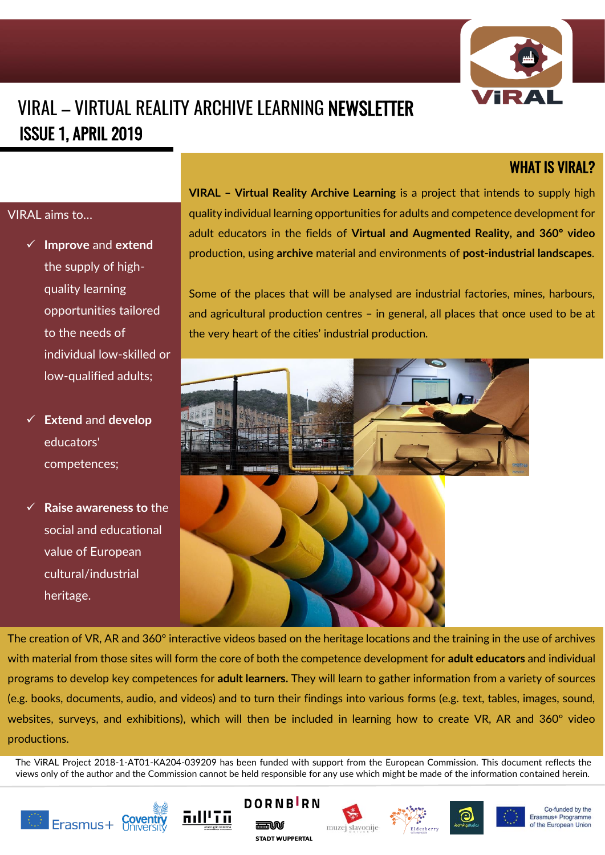

# VIRAL – VIRTUAL REALITY ARCHIVE LEARNING NEWSLETTER ISSUE 1, APRIL 2019

### WHAT IS VIRAL?

### VIRAL aims to…

- ✓ **Improve** and **extend** the supply of highquality learning opportunities tailored to the needs of individual low-skilled or low-qualified adults;
- ✓ **Extend** and **develop** educators' competences;
- **Raise awareness to the** social and educational value of European cultural/industrial heritage.

**VIRAL – Virtual Reality Archive Learning** is a project that intends to supply high quality individual learning opportunities for adults and competence development for adult educators in the fields of **Virtual and Augmented Reality, and 360º video**  production, using **archive** material and environments of **post-industrial landscapes**.

Some of the places that will be analysed are industrial factories, mines, harbours, and agricultural production centres – in general, all places that once used to be at the very heart of the cities' industrial production.



The creation of VR, AR and 360º interactive videos based on the heritage locations and the training in the use of archives with material from those sites will form the core of both the competence development for **adult educators** and individual programs to develop key competences for **adult learners.** They will learn to gather information from a variety of sources (e.g. books, documents, audio, and videos) and to turn their findings into various forms (e.g. text, tables, images, sound, websites, surveys, and exhibitions), which will then be included in learning how to create VR, AR and 360º video productions.

The ViRAL Project 2018-1-AT01-KA204-039209 has been funded with support from the European Commission. This document reflects the views only of the author and the Commission cannot be held responsible for any use which might be made of the information contained herein.















Co-funded by the Erasmus+ Programme of the European Union